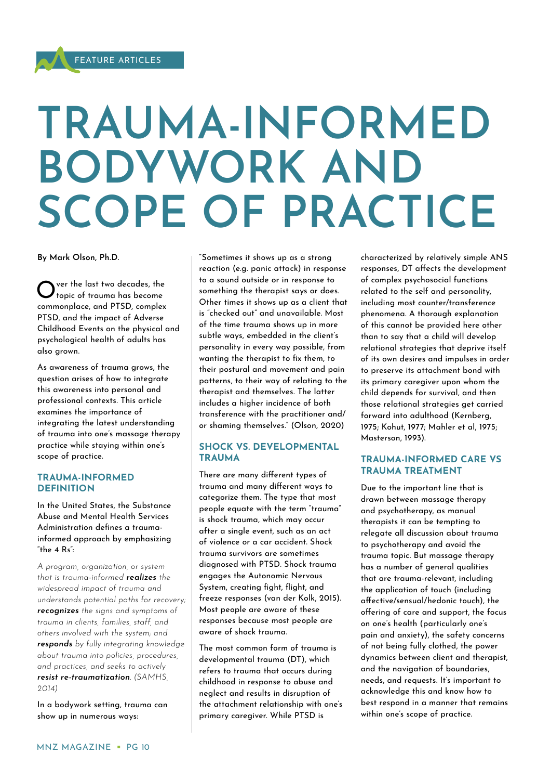# **TRAUMA-INFORMED BODYWORK AND SCOPE OF PRACTICE**

**By Mark Olson, Ph.D.**

O ver the last two decades, the<br>O topic of trauma has become ver the last two decades, the commonplace, and PTSD, complex PTSD, and the impact of Adverse Childhood Events on the physical and psychological health of adults has also grown.

As awareness of trauma grows, the question arises of how to integrate this awareness into personal and professional contexts. This article examines the importance of integrating the latest understanding of trauma into one's massage therapy practice while staying within one's scope of practice.

#### **TRAUMA-INFORMED DEFINITION**

In the United States, the Substance Abuse and Mental Health Services Administration defines a traumainformed approach by emphasizing "the 4 Rs":

*A program, organization, or system that is trauma-informed realizes the widespread impact of trauma and understands potential paths for recovery; recognizes the signs and symptoms of trauma in clients, families, staff, and others involved with the system; and responds by fully integrating knowledge about trauma into policies, procedures, and practices, and seeks to actively resist re-traumatization. (SAMHS, 2014)*

In a bodywork setting, trauma can show up in numerous ways:

"Sometimes it shows up as a strong reaction (e.g. panic attack) in response to a sound outside or in response to something the therapist says or does. Other times it shows up as a client that is "checked out" and unavailable. Most of the time trauma shows up in more subtle ways, embedded in the client's personality in every way possible, from wanting the therapist to fix them, to their postural and movement and pain patterns, to their way of relating to the therapist and themselves. The latter includes a higher incidence of both transference with the practitioner and/ or shaming themselves." (Olson, 2020)

### **SHOCK VS. DEVELOPMENTAL TRAUMA**

There are many different types of trauma and many different ways to categorize them. The type that most people equate with the term "trauma" is shock trauma, which may occur after a single event, such as an act of violence or a car accident. Shock trauma survivors are sometimes diagnosed with PTSD. Shock trauma engages the Autonomic Nervous System, creating fight, flight, and freeze responses (van der Kolk, 2015). Most people are aware of these responses because most people are aware of shock trauma.

The most common form of trauma is developmental trauma (DT), which refers to trauma that occurs during childhood in response to abuse and neglect and results in disruption of the attachment relationship with one's primary caregiver. While PTSD is

characterized by relatively simple ANS responses, DT affects the development of complex psychosocial functions related to the self and personality, including most counter/transference phenomena. A thorough explanation of this cannot be provided here other than to say that a child will develop relational strategies that deprive itself of its own desires and impulses in order to preserve its attachment bond with its primary caregiver upon whom the child depends for survival, and then those relational strategies get carried forward into adulthood (Kernberg, 1975; Kohut, 1977; Mahler et al, 1975; Masterson, 1993).

### **TRAUMA-INFORMED CARE VS TRAUMA TREATMENT**

Due to the important line that is drawn between massage therapy and psychotherapy, as manual therapists it can be tempting to relegate all discussion about trauma to psychotherapy and avoid the trauma topic. But massage therapy has a number of general qualities that are trauma-relevant, including the application of touch (including affective/sensual/hedonic touch), the offering of care and support, the focus on one's health (particularly one's pain and anxiety), the safety concerns of not being fully clothed, the power dynamics between client and therapist, and the navigation of boundaries, needs, and requests. It's important to acknowledge this and know how to best respond in a manner that remains within one's scope of practice.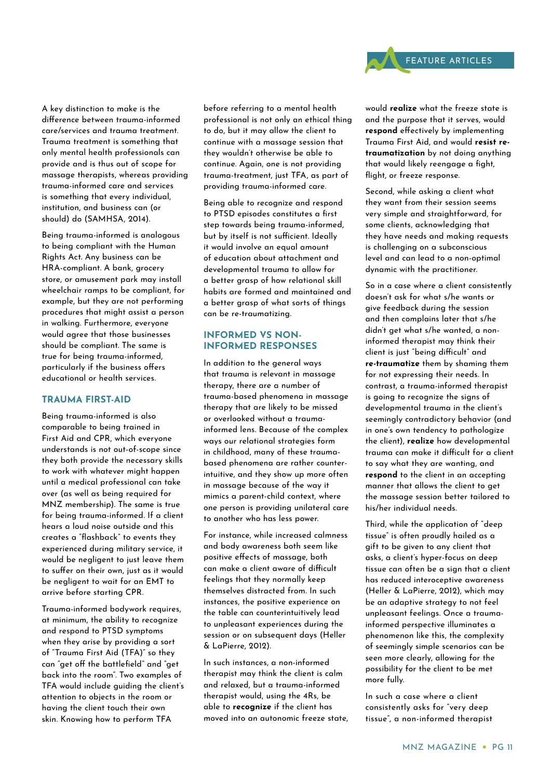A key distinction to make is the difference between trauma-informed care/services and trauma treatment. Trauma treatment is something that only mental health professionals can provide and is thus out of scope for massage therapists, whereas providing trauma-informed care and services is something that every individual, institution, and business can (or should) do (SAMHSA, 2014).

Being trauma-informed is analogous to being compliant with the Human Rights Act. Any business can be HRA-compliant. A bank, grocery store, or amusement park may install wheelchair ramps to be compliant, for example, but they are not performing procedures that might assist a person in walking. Furthermore, everyone would agree that those businesses should be compliant. The same is true for being trauma-informed, particularly if the business offers educational or health services.

#### **TRAUMA FIRST-AID**

Being trauma-informed is also comparable to being trained in First Aid and CPR, which everyone understands is not out-of-scope since they both provide the necessary skills to work with whatever might happen until a medical professional can take over (as well as being required for MNZ membership). The same is true for being trauma-informed. If a client hears a loud noise outside and this creates a "flashback" to events they experienced during military service, it would be negligent to just leave them to suffer on their own, just as it would be negligent to wait for an EMT to arrive before starting CPR.

Trauma-informed bodywork requires, at minimum, the ability to recognize and respond to PTSD symptoms when they arise by providing a sort of "Trauma First Aid (TFA)" so they can "get off the battlefield" and "get back into the room". Two examples of TFA would include guiding the client's attention to objects in the room or having the client touch their own skin. Knowing how to perform TFA

before referring to a mental health professional is not only an ethical thing to do, but it may allow the client to continue with a massage session that they wouldn't otherwise be able to continue. Again, one is not providing trauma-treatment, just TFA, as part of providing trauma-informed care.

Being able to recognize and respond to PTSD episodes constitutes a first step towards being trauma-informed, but by itself is not sufficient. Ideally it would involve an equal amount of education about attachment and developmental trauma to allow for a better grasp of how relational skill habits are formed and maintained and a better grasp of what sorts of things can be re-traumatizing.

#### **INFORMED VS NON-INFORMED RESPONSES**

In addition to the general ways that trauma is relevant in massage therapy, there are a number of trauma-based phenomena in massage therapy that are likely to be missed or overlooked without a traumainformed lens. Because of the complex ways our relational strategies form in childhood, many of these traumabased phenomena are rather counterintuitive, and they show up more often in massage because of the way it mimics a parent-child context, where one person is providing unilateral care to another who has less power.

For instance, while increased calmness and body awareness both seem like positive effects of massage, both can make a client aware of difficult feelings that they normally keep themselves distracted from. In such instances, the positive experience on the table can counterintuitively lead to unpleasant experiences during the session or on subsequent days (Heller & LaPierre, 2012).

In such instances, a non-informed therapist may think the client is calm and relaxed, but a trauma-informed therapist would, using the 4Rs, be able to **recognize** if the client has moved into an autonomic freeze state, would **realize** what the freeze state is and the purpose that it serves, would **respond** effectively by implementing Trauma First Aid, and would **resist retraumatization** by not doing anything that would likely reengage a fight, flight, or freeze response.

Second, while asking a client what they want from their session seems very simple and straightforward, for some clients, acknowledging that they have needs and making requests is challenging on a subconscious level and can lead to a non-optimal dynamic with the practitioner.

So in a case where a client consistently doesn't ask for what s/he wants or give feedback during the session and then complains later that s/he didn't get what s/he wanted, a noninformed therapist may think their client is just "being difficult" and **re-traumatize** them by shaming them for not expressing their needs. In contrast, a trauma-informed therapist is going to recognize the signs of developmental trauma in the client's seemingly contradictory behavior (and in one's own tendency to pathologize the client), **realize** how developmental trauma can make it difficult for a client to say what they are wanting, and **respond** to the client in an accepting manner that allows the client to get the massage session better tailored to his/her individual needs.

Third, while the application of "deep tissue" is often proudly hailed as a gift to be given to any client that asks, a client's hyper-focus on deep tissue can often be a sign that a client has reduced interoceptive awareness (Heller & LaPierre, 2012), which may be an adaptive strategy to not feel unpleasant feelings. Once a traumainformed perspective illuminates a phenomenon like this, the complexity of seemingly simple scenarios can be seen more clearly, allowing for the possibility for the client to be met more fully.

In such a case where a client consistently asks for "very deep tissue", a non-informed therapist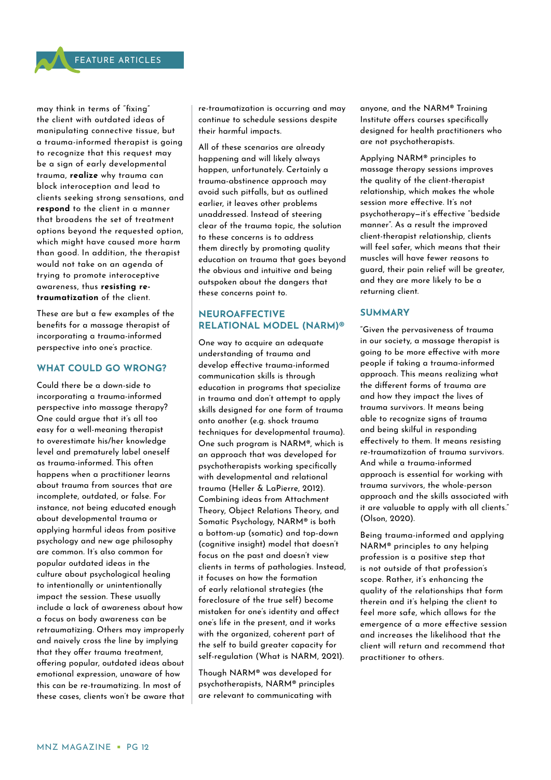may think in terms of "fixing" the client with outdated ideas of manipulating connective tissue, but a trauma-informed therapist is going to recognize that this request may be a sign of early developmental trauma, **realize** why trauma can block interoception and lead to clients seeking strong sensations, and **respond** to the client in a manner that broadens the set of treatment options beyond the requested option, which might have caused more harm than good. In addition, the therapist would not take on an agenda of trying to promote interoceptive awareness, thus **resisting retraumatization** of the client.

These are but a few examples of the benefits for a massage therapist of incorporating a trauma-informed perspective into one's practice.

#### **WHAT COULD GO WRONG?**

Could there be a down-side to incorporating a trauma-informed perspective into massage therapy? One could argue that it's all too easy for a well-meaning therapist to overestimate his/her knowledge level and prematurely label oneself as trauma-informed. This often happens when a practitioner learns about trauma from sources that are incomplete, outdated, or false. For instance, not being educated enough about developmental trauma or applying harmful ideas from positive psychology and new age philosophy are common. It's also common for popular outdated ideas in the culture about psychological healing to intentionally or unintentionally impact the session. These usually include a lack of awareness about how a focus on body awareness can be retraumatizing. Others may improperly and naively cross the line by implying that they offer trauma treatment, offering popular, outdated ideas about emotional expression, unaware of how this can be re-traumatizing. In most of these cases, clients won't be aware that re-traumatization is occurring and may continue to schedule sessions despite their harmful impacts.

All of these scenarios are already happening and will likely always happen, unfortunately. Certainly a trauma-abstinence approach may avoid such pitfalls, but as outlined earlier, it leaves other problems unaddressed. Instead of steering clear of the trauma topic, the solution to these concerns is to address them directly by promoting quality education on trauma that goes beyond the obvious and intuitive and being outspoken about the dangers that these concerns point to.

## **NEUROAFFECTIVE RELATIONAL MODEL (NARM)®**

One way to acquire an adequate understanding of trauma and develop effective trauma-informed communication skills is through education in programs that specialize in trauma and don't attempt to apply skills designed for one form of trauma onto another (e.g. shock trauma techniques for developmental trauma). One such program is NARM®, which is an approach that was developed for psychotherapists working specifically with developmental and relational trauma (Heller & LaPierre, 2012). Combining ideas from Attachment Theory, Object Relations Theory, and Somatic Psychology, NARM® is both a bottom-up (somatic) and top-down (cognitive insight) model that doesn't focus on the past and doesn't view clients in terms of pathologies. Instead, it focuses on how the formation of early relational strategies (the foreclosure of the true self) become mistaken for one's identity and affect one's life in the present, and it works with the organized, coherent part of the self to build greater capacity for self-regulation (What is NARM, 2021).

Though NARM® was developed for psychotherapists, NARM® principles are relevant to communicating with

anyone, and the NARM® Training Institute offers courses specifically designed for health practitioners who are not psychotherapists.

Applying NARM® principles to massage therapy sessions improves the quality of the client-therapist relationship, which makes the whole session more effective. It's not psychotherapy—it's effective "bedside manner". As a result the improved client-therapist relationship, clients will feel safer, which means that their muscles will have fewer reasons to guard, their pain relief will be greater, and they are more likely to be a returning client.

#### **SUMMARY**

"Given the pervasiveness of trauma in our society, a massage therapist is going to be more effective with more people if taking a trauma-informed approach. This means realizing what the different forms of trauma are and how they impact the lives of trauma survivors. It means being able to recognize signs of trauma and being skilful in responding effectively to them. It means resisting re-traumatization of trauma survivors. And while a trauma-informed approach is essential for working with trauma survivors, the whole-person approach and the skills associated with it are valuable to apply with all clients." (Olson, 2020).

Being trauma-informed and applying NARM® principles to any helping profession is a positive step that is not outside of that profession's scope. Rather, it's enhancing the quality of the relationships that form therein and it's helping the client to feel more safe, which allows for the emergence of a more effective session and increases the likelihood that the client will return and recommend that practitioner to others.